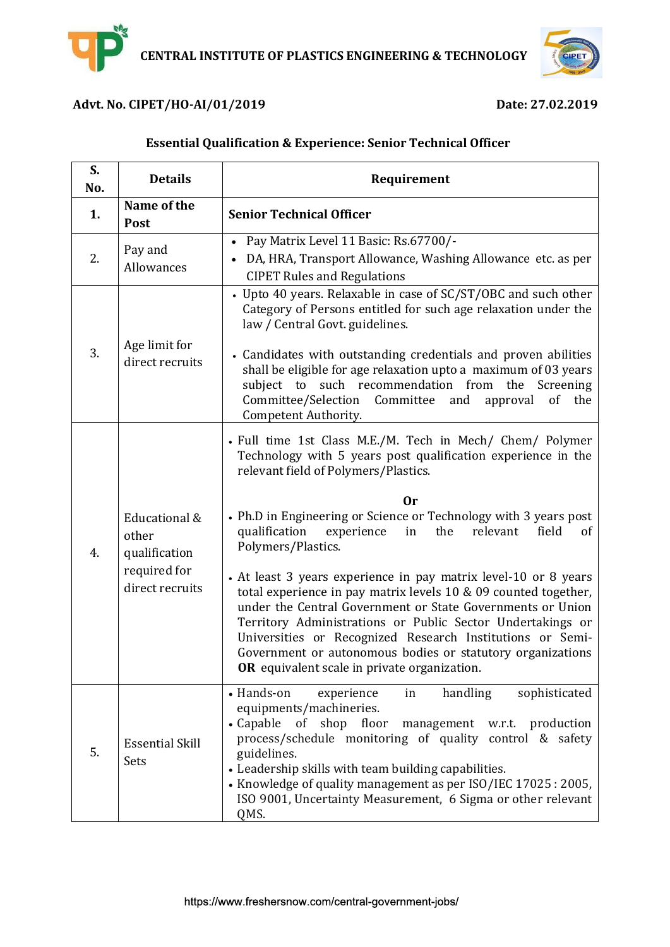

#### **Advt. No. CIPET/HO-AI/01/2019 Date: 27.02.2019**

# **Essential Qualification & Experience: Senior Technical Officer**

| S.<br>No. | <b>Details</b>                                                             | Requirement                                                                                                                                                                                                                                                                                                                                                                                                                                                                                                                                                                                                                                                                                                                                                                                      |
|-----------|----------------------------------------------------------------------------|--------------------------------------------------------------------------------------------------------------------------------------------------------------------------------------------------------------------------------------------------------------------------------------------------------------------------------------------------------------------------------------------------------------------------------------------------------------------------------------------------------------------------------------------------------------------------------------------------------------------------------------------------------------------------------------------------------------------------------------------------------------------------------------------------|
| 1.        | Name of the<br>Post                                                        | <b>Senior Technical Officer</b>                                                                                                                                                                                                                                                                                                                                                                                                                                                                                                                                                                                                                                                                                                                                                                  |
| 2.        | Pay and<br>Allowances                                                      | Pay Matrix Level 11 Basic: Rs.67700/-<br>$\bullet$<br>DA, HRA, Transport Allowance, Washing Allowance etc. as per<br><b>CIPET Rules and Regulations</b>                                                                                                                                                                                                                                                                                                                                                                                                                                                                                                                                                                                                                                          |
| 3.        | Age limit for<br>direct recruits                                           | • Upto 40 years. Relaxable in case of SC/ST/OBC and such other<br>Category of Persons entitled for such age relaxation under the<br>law / Central Govt. guidelines.<br>• Candidates with outstanding credentials and proven abilities<br>shall be eligible for age relaxation upto a maximum of 03 years<br>subject to such recommendation from<br>the<br>Screening<br>Committee/Selection<br>Committee<br>the<br>and<br>approval<br><sub>of</sub><br>Competent Authority.                                                                                                                                                                                                                                                                                                                       |
| 4.        | Educational &<br>other<br>qualification<br>required for<br>direct recruits | • Full time 1st Class M.E./M. Tech in Mech/ Chem/ Polymer<br>Technology with 5 years post qualification experience in the<br>relevant field of Polymers/Plastics.<br>0r<br>• Ph.D in Engineering or Science or Technology with 3 years post<br>qualification<br>experience<br>the<br>relevant<br>field<br>in<br><sub>of</sub><br>Polymers/Plastics.<br>• At least 3 years experience in pay matrix level-10 or 8 years<br>total experience in pay matrix levels 10 & 09 counted together,<br>under the Central Government or State Governments or Union<br>Territory Administrations or Public Sector Undertakings or<br>Universities or Recognized Research Institutions or Semi-<br>Government or autonomous bodies or statutory organizations<br>OR equivalent scale in private organization. |
| 5.        | <b>Essential Skill</b><br>Sets                                             | handling<br>• Hands-on<br>sophisticated<br>experience<br>in<br>equipments/machineries.<br>• Capable of shop floor<br>management w.r.t. production<br>process/schedule monitoring of quality control & safety<br>guidelines.<br>• Leadership skills with team building capabilities.<br>• Knowledge of quality management as per ISO/IEC 17025 : 2005,<br>ISO 9001, Uncertainty Measurement, 6 Sigma or other relevant<br>QMS.                                                                                                                                                                                                                                                                                                                                                                    |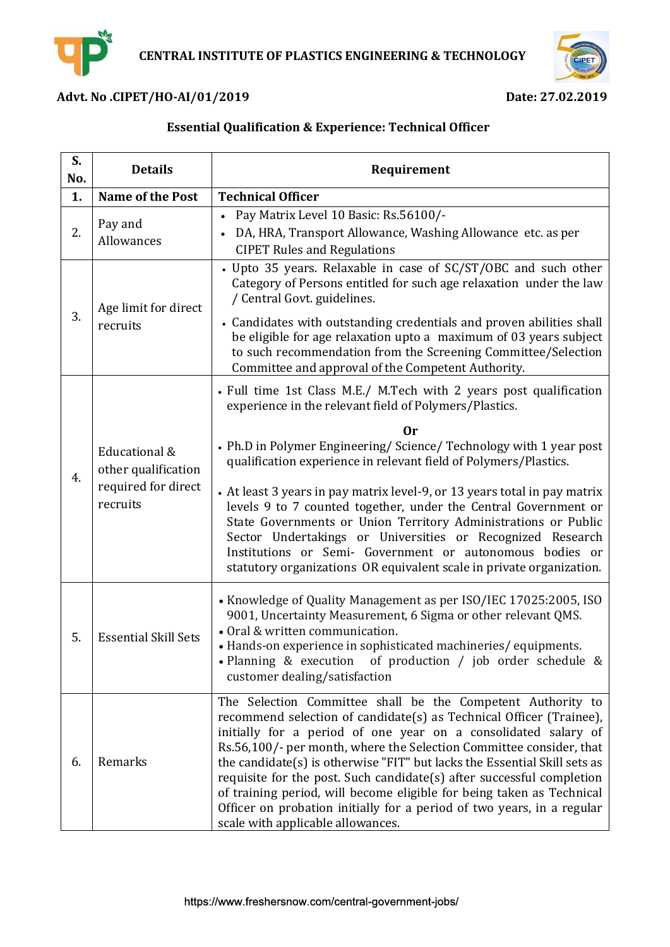



## **Advt. No .CIPET/HO-AI/01/2019 Date: 27.02.2019**

# **Essential Qualification & Experience: Technical Officer**

| S.<br>No. | <b>Details</b>                                                          | Requirement                                                                                                                                                                                                                                                                                                                                                                                                                                                                                                                                                                                                               |
|-----------|-------------------------------------------------------------------------|---------------------------------------------------------------------------------------------------------------------------------------------------------------------------------------------------------------------------------------------------------------------------------------------------------------------------------------------------------------------------------------------------------------------------------------------------------------------------------------------------------------------------------------------------------------------------------------------------------------------------|
| 1.        | <b>Name of the Post</b>                                                 | <b>Technical Officer</b>                                                                                                                                                                                                                                                                                                                                                                                                                                                                                                                                                                                                  |
| 2.        | Pay and<br>Allowances                                                   | Pay Matrix Level 10 Basic: Rs.56100/-<br>DA, HRA, Transport Allowance, Washing Allowance etc. as per<br><b>CIPET Rules and Regulations</b>                                                                                                                                                                                                                                                                                                                                                                                                                                                                                |
| 3.        | Age limit for direct<br>recruits                                        | • Upto 35 years. Relaxable in case of SC/ST/OBC and such other<br>Category of Persons entitled for such age relaxation under the law<br>/ Central Govt. guidelines.                                                                                                                                                                                                                                                                                                                                                                                                                                                       |
|           |                                                                         | • Candidates with outstanding credentials and proven abilities shall<br>be eligible for age relaxation upto a maximum of 03 years subject<br>to such recommendation from the Screening Committee/Selection<br>Committee and approval of the Competent Authority.                                                                                                                                                                                                                                                                                                                                                          |
| 4.        | Educational &<br>other qualification<br>required for direct<br>recruits | • Full time 1st Class M.E./ M.Tech with 2 years post qualification<br>experience in the relevant field of Polymers/Plastics.                                                                                                                                                                                                                                                                                                                                                                                                                                                                                              |
|           |                                                                         | Оr<br>• Ph.D in Polymer Engineering/Science/Technology with 1 year post<br>qualification experience in relevant field of Polymers/Plastics.<br>• At least 3 years in pay matrix level-9, or 13 years total in pay matrix<br>levels 9 to 7 counted together, under the Central Government or<br>State Governments or Union Territory Administrations or Public<br>Sector Undertakings or Universities or Recognized Research<br>Institutions or Semi- Government or autonomous bodies or<br>statutory organizations OR equivalent scale in private organization.                                                           |
| 5.        | <b>Essential Skill Sets</b>                                             | • Knowledge of Quality Management as per ISO/IEC 17025:2005, ISO<br>9001, Uncertainty Measurement, 6 Sigma or other relevant QMS.<br>• Oral & written communication.<br>• Hands-on experience in sophisticated machineries/equipments.<br>· Planning & execution of production / job order schedule &<br>customer dealing/satisfaction                                                                                                                                                                                                                                                                                    |
| 6.        | Remarks                                                                 | The Selection Committee shall be the Competent Authority to<br>recommend selection of candidate(s) as Technical Officer (Trainee),<br>initially for a period of one year on a consolidated salary of<br>Rs.56,100/- per month, where the Selection Committee consider, that<br>the candidate(s) is otherwise "FIT" but lacks the Essential Skill sets as<br>requisite for the post. Such candidate(s) after successful completion<br>of training period, will become eligible for being taken as Technical<br>Officer on probation initially for a period of two years, in a regular<br>scale with applicable allowances. |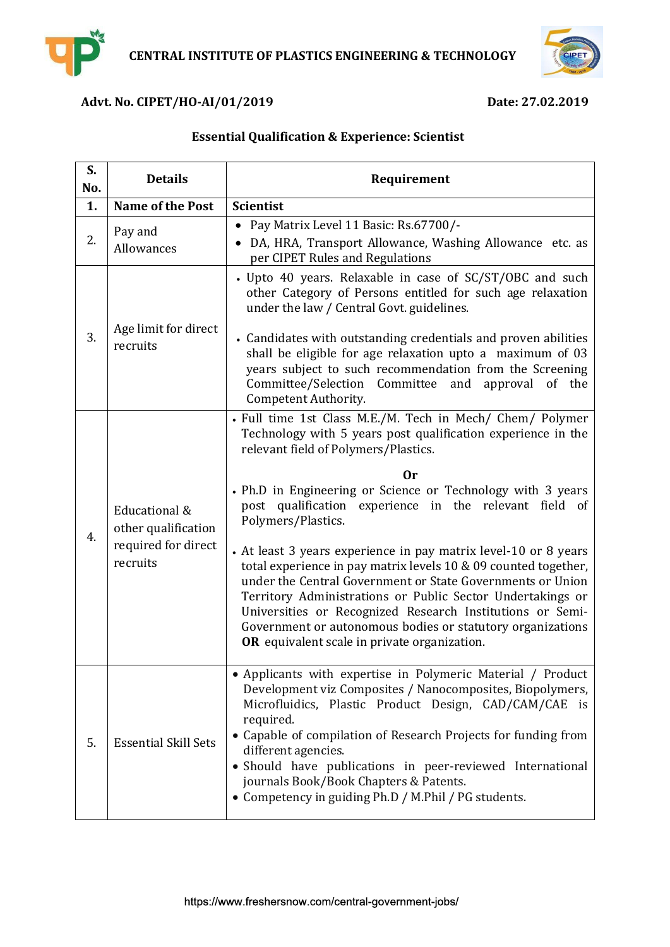



## **Advt. No. CIPET/HO-AI/01/2019 Date: 27.02.2019**

## **Essential Qualification & Experience: Scientist**

| S.<br>No. | <b>Details</b>                                                          | Requirement                                                                                                                                                                                                                                                                                                                                                                                                                                                                                                                                                                                                                                                                                                                                                         |
|-----------|-------------------------------------------------------------------------|---------------------------------------------------------------------------------------------------------------------------------------------------------------------------------------------------------------------------------------------------------------------------------------------------------------------------------------------------------------------------------------------------------------------------------------------------------------------------------------------------------------------------------------------------------------------------------------------------------------------------------------------------------------------------------------------------------------------------------------------------------------------|
| 1.        | <b>Name of the Post</b>                                                 | <b>Scientist</b>                                                                                                                                                                                                                                                                                                                                                                                                                                                                                                                                                                                                                                                                                                                                                    |
| 2.        | Pay and<br>Allowances                                                   | • Pay Matrix Level 11 Basic: Rs.67700/-<br>• DA, HRA, Transport Allowance, Washing Allowance etc. as<br>per CIPET Rules and Regulations                                                                                                                                                                                                                                                                                                                                                                                                                                                                                                                                                                                                                             |
| 3.        | Age limit for direct<br>recruits                                        | • Upto 40 years. Relaxable in case of SC/ST/OBC and such<br>other Category of Persons entitled for such age relaxation<br>under the law / Central Govt. guidelines.<br>• Candidates with outstanding credentials and proven abilities<br>shall be eligible for age relaxation upto a maximum of 03<br>years subject to such recommendation from the Screening<br>Committee/Selection Committee and<br>approval of the<br>Competent Authority.                                                                                                                                                                                                                                                                                                                       |
| 4.        | Educational &<br>other qualification<br>required for direct<br>recruits | • Full time 1st Class M.E./M. Tech in Mech/ Chem/ Polymer<br>Technology with 5 years post qualification experience in the<br>relevant field of Polymers/Plastics.<br>0r<br>• Ph.D in Engineering or Science or Technology with 3 years<br>post qualification experience in the relevant field of<br>Polymers/Plastics.<br>• At least 3 years experience in pay matrix level-10 or 8 years<br>total experience in pay matrix levels 10 & 09 counted together,<br>under the Central Government or State Governments or Union<br>Territory Administrations or Public Sector Undertakings or<br>Universities or Recognized Research Institutions or Semi-<br>Government or autonomous bodies or statutory organizations<br>OR equivalent scale in private organization. |
| 5.        | <b>Essential Skill Sets</b>                                             | • Applicants with expertise in Polymeric Material / Product<br>Development viz Composites / Nanocomposites, Biopolymers,<br>Microfluidics, Plastic Product Design, CAD/CAM/CAE is<br>required.<br>• Capable of compilation of Research Projects for funding from<br>different agencies.<br>· Should have publications in peer-reviewed International<br>journals Book/Book Chapters & Patents.<br>• Competency in guiding Ph.D / M.Phil / PG students.                                                                                                                                                                                                                                                                                                              |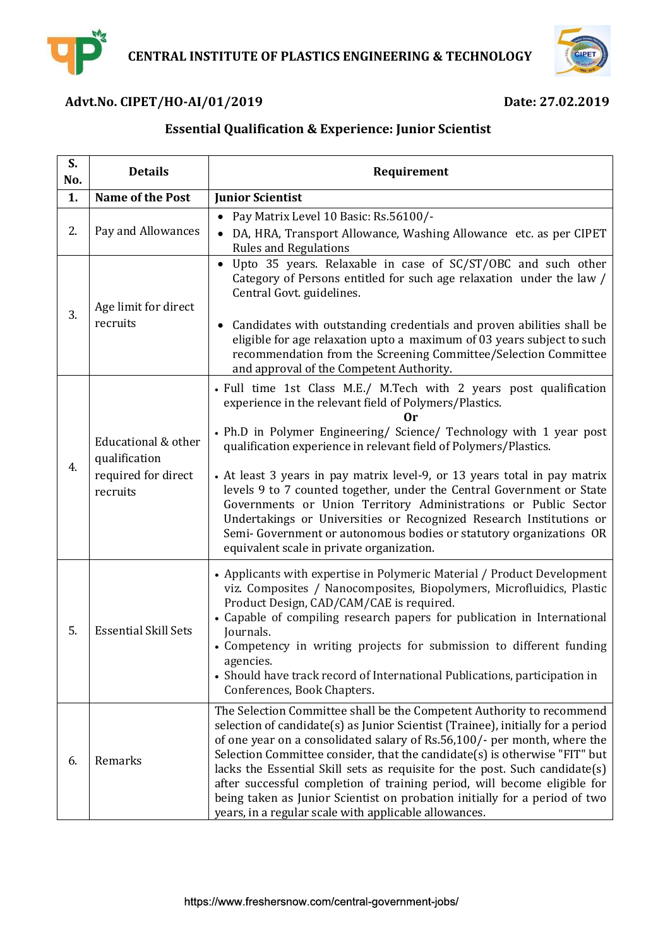



# **Advt.No. CIPET/HO-AI/01/2019 Date: 27.02.2019**

# **Essential Qualification & Experience: Junior Scientist**

| S.<br>No. | <b>Details</b>                                                          | Requirement                                                                                                                                                                                                                                                                                                                                                                                                                                                                                                                                                                                                                                                                                       |
|-----------|-------------------------------------------------------------------------|---------------------------------------------------------------------------------------------------------------------------------------------------------------------------------------------------------------------------------------------------------------------------------------------------------------------------------------------------------------------------------------------------------------------------------------------------------------------------------------------------------------------------------------------------------------------------------------------------------------------------------------------------------------------------------------------------|
| 1.        | <b>Name of the Post</b>                                                 | <b>Junior Scientist</b>                                                                                                                                                                                                                                                                                                                                                                                                                                                                                                                                                                                                                                                                           |
| 2.        | Pay and Allowances                                                      | Pay Matrix Level 10 Basic: Rs.56100/-<br>DA, HRA, Transport Allowance, Washing Allowance etc. as per CIPET<br><b>Rules and Regulations</b>                                                                                                                                                                                                                                                                                                                                                                                                                                                                                                                                                        |
| 3.        | Age limit for direct<br>recruits                                        | Upto 35 years. Relaxable in case of SC/ST/OBC and such other<br>$\bullet$<br>Category of Persons entitled for such age relaxation under the law /<br>Central Govt. guidelines.<br>Candidates with outstanding credentials and proven abilities shall be<br>eligible for age relaxation upto a maximum of 03 years subject to such<br>recommendation from the Screening Committee/Selection Committee<br>and approval of the Competent Authority.                                                                                                                                                                                                                                                  |
| 4.        | Educational & other<br>qualification<br>required for direct<br>recruits | • Full time 1st Class M.E./ M.Tech with 2 years post qualification<br>experience in the relevant field of Polymers/Plastics.<br>Оr<br>• Ph.D in Polymer Engineering/ Science/ Technology with 1 year post<br>qualification experience in relevant field of Polymers/Plastics.<br>• At least 3 years in pay matrix level-9, or 13 years total in pay matrix<br>levels 9 to 7 counted together, under the Central Government or State<br>Governments or Union Territory Administrations or Public Sector<br>Undertakings or Universities or Recognized Research Institutions or<br>Semi- Government or autonomous bodies or statutory organizations OR<br>equivalent scale in private organization. |
| 5.        | <b>Essential Skill Sets</b>                                             | • Applicants with expertise in Polymeric Material / Product Development<br>viz. Composites / Nanocomposites, Biopolymers, Microfluidics, Plastic<br>Product Design, CAD/CAM/CAE is required.<br>• Capable of compiling research papers for publication in International<br>Journals.<br>• Competency in writing projects for submission to different funding<br>agencies.<br>• Should have track record of International Publications, participation in<br>Conferences, Book Chapters.                                                                                                                                                                                                            |
| 6.        | Remarks                                                                 | The Selection Committee shall be the Competent Authority to recommend<br>selection of candidate(s) as Junior Scientist (Trainee), initially for a period<br>of one year on a consolidated salary of Rs.56,100/- per month, where the<br>Selection Committee consider, that the candidate(s) is otherwise "FIT" but<br>lacks the Essential Skill sets as requisite for the post. Such candidate(s)<br>after successful completion of training period, will become eligible for<br>being taken as Junior Scientist on probation initially for a period of two<br>years, in a regular scale with applicable allowances.                                                                              |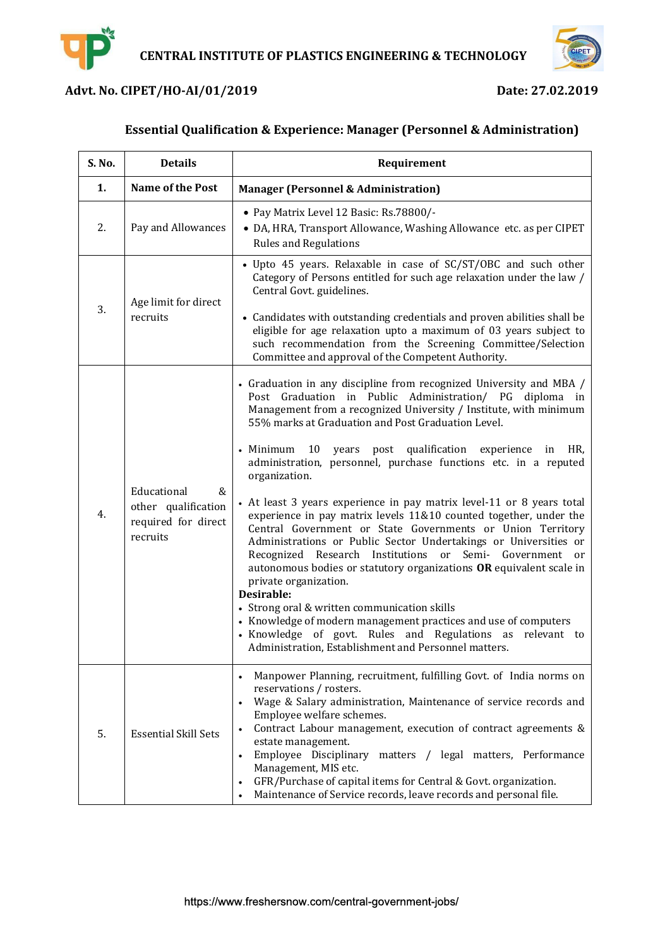



## **Advt. No. CIPET/HO-AI/01/2019 Date: 27.02.2019**

## **Essential Qualification & Experience: Manager (Personnel & Administration)**

| S. No. | <b>Details</b>                                                             | Requirement                                                                                                                                                                                                                                                                                                                                                                                                                                                                                                                                                                                                                                                                                                                                                                                                                                                                                                                                                                                                                                                                                                              |
|--------|----------------------------------------------------------------------------|--------------------------------------------------------------------------------------------------------------------------------------------------------------------------------------------------------------------------------------------------------------------------------------------------------------------------------------------------------------------------------------------------------------------------------------------------------------------------------------------------------------------------------------------------------------------------------------------------------------------------------------------------------------------------------------------------------------------------------------------------------------------------------------------------------------------------------------------------------------------------------------------------------------------------------------------------------------------------------------------------------------------------------------------------------------------------------------------------------------------------|
| 1.     | <b>Name of the Post</b>                                                    | <b>Manager (Personnel &amp; Administration)</b>                                                                                                                                                                                                                                                                                                                                                                                                                                                                                                                                                                                                                                                                                                                                                                                                                                                                                                                                                                                                                                                                          |
| 2.     | Pay and Allowances                                                         | · Pay Matrix Level 12 Basic: Rs.78800/-<br>• DA, HRA, Transport Allowance, Washing Allowance etc. as per CIPET<br><b>Rules and Regulations</b>                                                                                                                                                                                                                                                                                                                                                                                                                                                                                                                                                                                                                                                                                                                                                                                                                                                                                                                                                                           |
| 3.     | Age limit for direct<br>recruits                                           | • Upto 45 years. Relaxable in case of SC/ST/OBC and such other<br>Category of Persons entitled for such age relaxation under the law /<br>Central Govt. guidelines.<br>• Candidates with outstanding credentials and proven abilities shall be<br>eligible for age relaxation upto a maximum of 03 years subject to<br>such recommendation from the Screening Committee/Selection<br>Committee and approval of the Competent Authority.                                                                                                                                                                                                                                                                                                                                                                                                                                                                                                                                                                                                                                                                                  |
| 4.     | Educational<br>&<br>other qualification<br>required for direct<br>recruits | • Graduation in any discipline from recognized University and MBA /<br>Post Graduation in Public Administration/ PG diploma in<br>Management from a recognized University / Institute, with minimum<br>55% marks at Graduation and Post Graduation Level.<br>• Minimum<br>10 years post qualification<br>experience in HR,<br>administration, personnel, purchase functions etc. in a reputed<br>organization.<br>• At least 3 years experience in pay matrix level-11 or 8 years total<br>experience in pay matrix levels 11&10 counted together, under the<br>Central Government or State Governments or Union Territory<br>Administrations or Public Sector Undertakings or Universities or<br>Recognized Research Institutions or<br>Semi-<br>Government or<br>autonomous bodies or statutory organizations OR equivalent scale in<br>private organization.<br>Desirable:<br>• Strong oral & written communication skills<br>• Knowledge of modern management practices and use of computers<br>• Knowledge of govt. Rules and Regulations as<br>relevant to<br>Administration, Establishment and Personnel matters. |
| 5.     | <b>Essential Skill Sets</b>                                                | Manpower Planning, recruitment, fulfilling Govt. of India norms on<br>reservations / rosters.<br>Wage & Salary administration, Maintenance of service records and<br>Employee welfare schemes.<br>Contract Labour management, execution of contract agreements &<br>estate management.<br>Employee Disciplinary matters / legal matters, Performance<br>Management, MIS etc.<br>GFR/Purchase of capital items for Central & Govt. organization.<br>Maintenance of Service records, leave records and personal file.                                                                                                                                                                                                                                                                                                                                                                                                                                                                                                                                                                                                      |